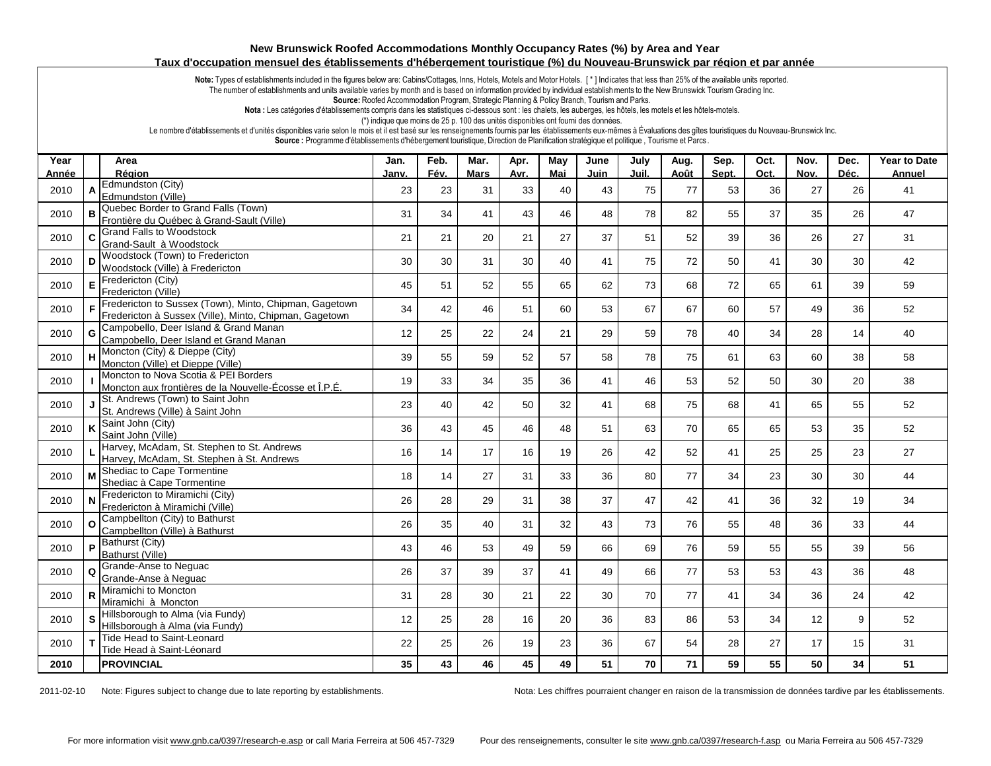## **New Brunswick Roofed Accommodations Monthly Occupancy Rates (%) by Area and Year Taux d'occupation mensuel des établissements d'hébergement touristique (%) du Nouveau-Brunswick par région et par année**

Note: Types of establishments included in the figures below are: Cabins/Cottages, Inns, Hotels, Motels and Motor Hotels. [\*] Indicates that less than 25% of the available units reported.

The number of establishments and units available varies by month and is based on information provided by individual establishments to the New Brunswick Tourism Grading Inc.

**Source:** Roofed Accommodation Program, Strategic Planning & Policy Branch, Tourism and Parks.

Nota : Les catégories d'établissements compris dans les statistiques ci-dessous sont : les chalets, les auberges, les hôtels, les motels et les hôtels-motels.

(\*) indique que moins de 25 p. 100 des unités disponibles ont fourni des données.

Le nombre d'établissements et d'unités disponibles varie selon le mois et il est basé sur les renseignements fournis par les établissements eux-mêmes à Évaluations des gîtes touristiques du Nouveau-Brunswick Inc.

Source : Programme d'établissements d'hébergement touristique, Direction de Planification stratégique et politique, Tourisme et Parcs .

| Year  |              | Area                                                                                                             | Jan.  | Feb. | Mar.        | Apr. | May | June | July  | Aug. | Sep.  | Oct. | Nov. | Dec. | <b>Year to Date</b> |
|-------|--------------|------------------------------------------------------------------------------------------------------------------|-------|------|-------------|------|-----|------|-------|------|-------|------|------|------|---------------------|
| Année |              | Région<br>Edmundston (City)                                                                                      | Janv. | Fév. | <b>Mars</b> | Avr. | Mai | Juin | Juil. | Août | Sept. | Oct. | Nov. | Déc. | <b>Annuel</b>       |
| 2010  |              | Edmundston (Ville)                                                                                               | 23    | 23   | 31          | 33   | 40  | 43   | 75    | 77   | 53    | 36   | 27   | 26   | 41                  |
| 2010  | B            | Quebec Border to Grand Falls (Town)<br>Frontière du Québec à Grand-Sault (Ville)                                 | 31    | 34   | 41          | 43   | 46  | 48   | 78    | 82   | 55    | 37   | 35   | 26   | 47                  |
| 2010  | C            | <b>Grand Falls to Woodstock</b><br>Grand-Sault à Woodstock                                                       | 21    | 21   | 20          | 21   | 27  | 37   | 51    | 52   | 39    | 36   | 26   | 27   | 31                  |
| 2010  | D            | Woodstock (Town) to Fredericton<br>Woodstock (Ville) à Fredericton                                               | 30    | 30   | 31          | 30   | 40  | 41   | 75    | 72   | 50    | 41   | 30   | 30   | 42                  |
| 2010  | E            | Fredericton (City)<br>Fredericton (Ville)                                                                        | 45    | 51   | 52          | 55   | 65  | 62   | 73    | 68   | 72    | 65   | 61   | 39   | 59                  |
| 2010  | F.           | Fredericton to Sussex (Town), Minto, Chipman, Gagetown<br>Fredericton à Sussex (Ville), Minto, Chipman, Gagetown | 34    | 42   | 46          | 51   | 60  | 53   | 67    | 67   | 60    | 57   | 49   | 36   | 52                  |
| 2010  | G            | Campobello, Deer Island & Grand Manan<br>Campobello, Deer Island et Grand Manan                                  | 12    | 25   | 22          | 24   | 21  | 29   | 59    | 78   | 40    | 34   | 28   | 14   | 40                  |
| 2010  |              | H Moncton (City) & Dieppe (City)<br>Moncton (Ville) et Dieppe (Ville)                                            | 39    | 55   | 59          | 52   | 57  | 58   | 78    | 75   | 61    | 63   | 60   | 38   | 58                  |
| 2010  |              | Moncton to Nova Scotia & PEI Borders<br>Moncton aux frontières de la Nouvelle-Écosse et Î.P.É.                   | 19    | 33   | 34          | 35   | 36  | 41   | 46    | 53   | 52    | 50   | 30   | 20   | 38                  |
| 2010  |              | J St. Andrews (Town) to Saint John<br>St. Andrews (Ville) à Saint John                                           | 23    | 40   | 42          | 50   | 32  | 41   | 68    | 75   | 68    | 41   | 65   | 55   | 52                  |
| 2010  |              | $K \overline{\phantom{.}}$ Saint John (City)<br>Saint John (Ville)                                               | 36    | 43   | 45          | 46   | 48  | 51   | 63    | 70   | 65    | 65   | 53   | 35   | 52                  |
| 2010  |              | Harvey, McAdam, St. Stephen to St. Andrews<br>Harvey, McAdam, St. Stephen à St. Andrews                          | 16    | 14   | 17          | 16   | 19  | 26   | 42    | 52   | 41    | 25   | 25   | 23   | 27                  |
| 2010  |              | M Shediac to Cape Tormentine<br>Shediac à Cape Tormentine                                                        | 18    | 14   | 27          | 31   | 33  | 36   | 80    | 77   | 34    | 23   | 30   | 30   | 44                  |
| 2010  |              | Fredericton to Miramichi (City)<br>Fredericton à Miramichi (Ville)                                               | 26    | 28   | 29          | 31   | 38  | 37   | 47    | 42   | 41    | 36   | 32   | 19   | 34                  |
| 2010  | $\Omega$     | Campbellton (City) to Bathurst<br>Campbellton (Ville) à Bathurst                                                 | 26    | 35   | 40          | 31   | 32  | 43   | 73    | 76   | 55    | 48   | 36   | 33   | 44                  |
| 2010  |              | P Bathurst (City)<br>Bathurst (Ville)                                                                            | 43    | 46   | 53          | 49   | 59  | 66   | 69    | 76   | 59    | 55   | 55   | 39   | 56                  |
| 2010  | $\Omega$     | Grande-Anse to Neguac<br>Grande-Anse à Nequac                                                                    | 26    | 37   | 39          | 37   | 41  | 49   | 66    | 77   | 53    | 53   | 43   | 36   | 48                  |
| 2010  |              | R Miramichi to Moncton<br>Miramichi à Moncton                                                                    | 31    | 28   | 30          | 21   | 22  | 30   | 70    | 77   | 41    | 34   | 36   | 24   | 42                  |
| 2010  | <sub>S</sub> | Hillsborough to Alma (via Fundy)<br>Hillsborough à Alma (via Fundy)                                              | 12    | 25   | 28          | 16   | 20  | 36   | 83    | 86   | 53    | 34   | 12   | 9    | 52                  |
| 2010  | T.           | Tide Head to Saint-Leonard<br>Tide Head à Saint-Léonard                                                          | 22    | 25   | 26          | 19   | 23  | 36   | 67    | 54   | 28    | 27   | 17   | 15   | 31                  |
| 2010  |              | <b>PROVINCIAL</b>                                                                                                | 35    | 43   | 46          | 45   | 49  | 51   | 70    | 71   | 59    | 55   | 50   | 34   | 51                  |

2011-02-10 Note: Figures subject to change due to late reporting by establishments. Nota: Les chiffres pourraient changer en raison de la transmission de données tardive par les établissements.